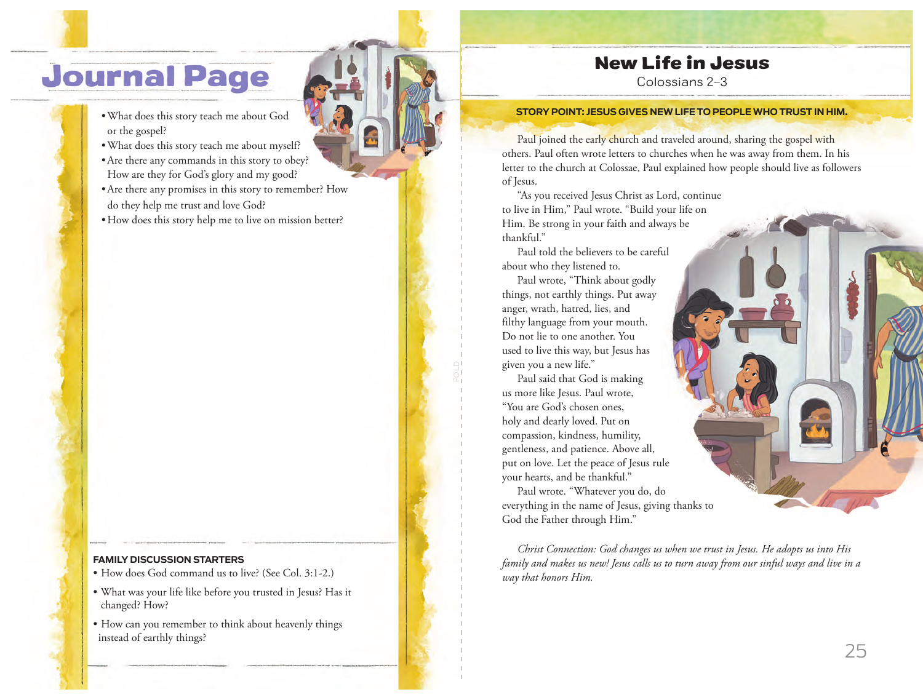# **Journal Page**

- What does this story teach me about God or the gospel?
- What does this story teach me about myself?
- Are there any commands in this story to obey? How are they for God's glory and my good?
- Are there any promises in this story to remember? How do they help me trust and love God?
- How does this story help me to live on mission better?

### **FAMILY DISCUSSION STARTERS**

- How does God command us to live? (See Col. 3:1-2.)
- What was your life like before you trusted in Jesus? Has it changed? How?
- How can you remember to think about heavenly things instead of earthly things?

### New Life in Jesus

Colossians 2–3

#### **SUS GIVES NEW LIFE TO PEOPLE WHO TRUST IN HIM.**

Paul joined the early church and traveled around, sharing the gospel with others. Paul often wrote letters to churches when he was away from them. In his letter to the church at Colossae, Paul explained how people should live as followers of Jesus.

"As you received Jesus Christ as Lord, continue to live in Him," Paul wrote. "Build your life on Him. Be strong in your faith and always be thankful."

Paul told the believers to be careful about who they listened to.

Paul wrote, "Think about godly things, not earthly things. Put away anger, wrath, hatred, lies, and filthy language from your mouth. Do not lie to one another. You used to live this way, but Jesus has given you a new life."

Paul said that God is making us more like Jesus. Paul wrote, "You are God's chosen ones, holy and dearly loved. Put on compassion, kindness, humility, gentleness, and patience. Above all, put on love. Let the peace of Jesus rule your hearts, and be thankful."

Paul wrote. "Whatever you do, do everything in the name of Jesus, giving thanks to God the Father through Him."

*Christ Connection: God changes us when we trust in Jesus. He adopts us into His family and makes us new! Jesus calls us to turn away from our sinful ways and live in a way that honors Him.*